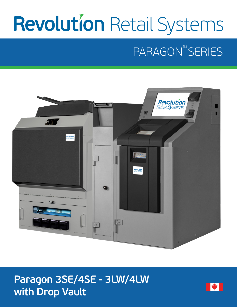# **Revolution Retail Systems**

# PARAGON<sup>TM</sup> SERIES



### **Paragon 3SE/4SE - 3LW/4LW with Drop Vault**

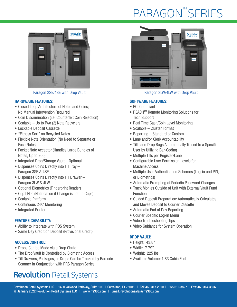# **PARAGON™SERIES**



#### HARDWARE FEATURES:

- Closed Loop Architecture of Notes and Coins; No Manual Intervention Required
- Coin Discrimination (i.e. Counterfeit Coin Rejection)
- Scalable Up to Two (2) Note Recyclers
- Lockable Deposit Cassette
- "Fitness Sort" on Recycled Notes
- Flexible Note Orientation (No Need to Separate or Face Notes)
- Pocket Note Acceptor (Handles Large Bundles of Notes; Up to 200)
- Integrated Drop/Storage Vault Optional
- Dispenses Coins Directly into Till Tray Paragon 3SE & 4SE
- Dispenses Coins Directly into Till Drawer Paragon 3LW & 4LW
- Optional Biometrics (Fingerprint Reader)
- Cup LEDs (Notification if Change is Left in Cups)
- Scalable Platform
- Continuous 24/7 Monitoring
- Integrated Printer

#### FEATURE CAPABILITY:

- Ability to Integrate with POS System
- Same Day Credit on Deposit (Provisional Credit)

#### ACCESS/CONTROL:

- Drops Can be Made via a Drop Chute
- The Drop Vault is Controlled by Biometric Access
- Till Drawers, Packages, or Drops Can be Tracked by Barcode Scanner in Conjunction with RRS Paragon Series

### **Revolution Retail Systems**



Paragon 3SE/4SE with Drop Vault Paragon 3LW/4LW with Drop Vault

#### SOFTWARE FEATURES:

- PCI Compliant
- REACH<sup>™</sup> Remote Monitoring Solutions for Tech Support
- Real Time Cash/Coin Level Monitoring
- Scalable Cluster Format
- Reporting Standard or Custom
- Lane and/or Clerk Accountability
- Tills and Drop Bags Automatically Traced to a Specific User by Utilizing Bar-Coding
- Multiple Tills per Register/Lane
- Configurable User Permission Levels for Machine Access
- Multiple User Authentication Schemes (Log-in and PIN, or Biometrics)
- Automatic Prompting of Periodic Password Changes
- Track Monies Outside of Unit with External Vault Fund Function
- Guided Deposit Preparation: Automatically Calculates and Moves Deposit to Courier Cassette
- Automatic End of Day Reporting
- Courier Specific Log-In Menu
- Video Troubleshooting Tips
- Video Guidance for System Operation

#### DROP VAULT:

- Height: 43.8"
- Width: 7.79"
- Weight: 225 lbs.
- Available Volume: 1.83 Cubic Feet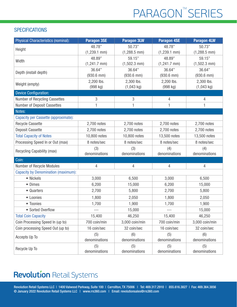# PARAGON<sup>™</sup>SERIES

#### **SPECIFICATIONS**

| Physical Characteristics (nominal):        | <b>Paragon 3SE</b> | <b>Paragon 3LW</b> | <b>Paragon 4SE</b> | <b>Paragon 4LW</b> |
|--------------------------------------------|--------------------|--------------------|--------------------|--------------------|
| Height                                     | 48.78"             | 50.73"             | 48.78"             | 50.73"             |
|                                            | $(1,239.1$ mm)     | $(1,288.5$ mm)     | $(1,239.1$ mm)     | $(1,288.5$ mm)     |
| Width                                      | 48.89"             | 59.15"             | 48.89"             | 59.15"             |
|                                            | $(1,241.7$ mm)     | $(1,502.3$ mm)     | $(1,241.7$ mm $)$  | $(1,502.3$ mm)     |
| Depth (install depth)                      | 36.64"             | 36.64"             | 36.64"             | 36.64"             |
|                                            | $(930.6$ mm $)$    | $(930.6$ mm $)$    | $(930.6$ mm $)$    | $(930.6$ mm)       |
| Weight (empty)                             | 2,200 lbs.         | 2,300 lbs.         | 2,200 lbs.         | 2,300 lbs.         |
|                                            | (998 kg)           | $(1,043$ kg)       | (998 kg)           | $(1,043$ kg)       |
| <b>Device Configuration:</b>               |                    |                    |                    |                    |
| Number of Recycling Cassettes              | 3                  | 3                  | 4                  | $\overline{4}$     |
| Number of Deposit Cassettes                | 1                  | 1                  | 1                  | 1                  |
| Notes:                                     |                    |                    |                    |                    |
| Capacity per Cassette (approximate):       |                    |                    |                    |                    |
| <b>Recycle Cassette</b>                    | 2,700 notes        | 2,700 notes        | 2,700 notes        | 2,700 notes        |
| <b>Deposit Cassette</b>                    | 2,700 notes        | 2,700 notes        | 2,700 notes        | 2,700 notes        |
| <b>Total Capacity of Notes</b>             | 10,800 notes       | 10,800 notes       | 13,500 notes       | 13,500 notes       |
| Processing Speed In or Out (max)           | 8 notes/sec        | 8 notes/sec        | 8 notes/sec        | 8 notes/sec        |
| Recycling Capability (max)                 | (3)                | (3)                | (4)                | (4)                |
|                                            | denominations      | denominations      | denominations      | denominations      |
| Coin:                                      |                    |                    |                    |                    |
| Number of Recycle Modules                  | 4                  | 4                  | 4                  | $\overline{4}$     |
| <b>Capacity by Denomination (maximum):</b> |                    |                    |                    |                    |
| • Nickels                                  | 3,000              | 6,500              | 3,000              | 6,500              |
| • Dimes                                    | 6,200              | 15,000             | 6,200              | 15,000             |
| • Quarters                                 | 2,700              | 5,800              | 2,700              | 5,800              |
| • Loonies                                  | 1,800              | 2,050              | 1,800              | 2,050              |
| • Toonies                                  | 1,700              | 1,900              | 1,700              | 1,900              |
| • Sorted Overflow                          |                    | 15,000             |                    | 15,000             |
| <b>Total Coin Capacity</b>                 | 15,400             | 46,250             | 15,400             | 46,250             |
| Coin Processing Speed In (up to)           | 700 coin/min       | 3,000 coin/min     | 700 coin/min       | 3,000 coin/min     |
| Coin processing Speed Out (up to)          | 16 coin/sec        | 32 coin/sec        | 16 coin/sec        | 32 coin/sec        |
| Accepts Up To                              | (5)                | (6)                | (5)                | (6)                |
|                                            | denominations      | denominations      | denominations      | denominations      |
| Recycle Up To                              | (5)                | (5)                | (5)                | (5)                |
|                                            | denominations      | denominations      | denominations      | denominations      |

### **Revolution Retail Systems**

Revolution Retail Systems LLC | 1400 Valwood Parkway, Suite 100 | Carrollton, TX 75006 | Tel: 469.317.2910 | 855.616.3827 | Fax: 469.364.3856 © January 2022 Revolution Retail Systems LLC | www.rrs360.com | Email: revolutionsales@rrs360.com